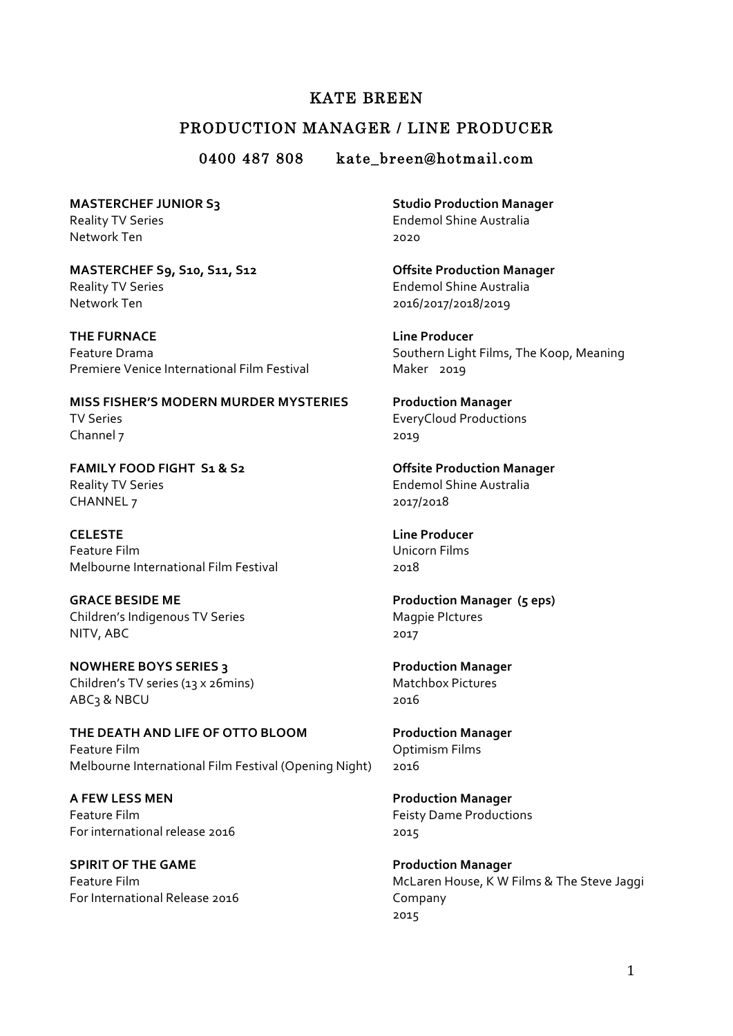## KATE BREEN

## PRODUCTION MANAGER / LINE PRODUCER

0400 487 808 kate breen@hotmail.com

**MASTERCHEF JUNIOR S3** Reality TV Series Network Ten

**MASTERCHEF S9, S10, S11, S12** Reality TV Series **Endemol Shine Australia** Network Ten 2016/2017/2018/2019

**THE FURNACE** Feature Drama Premiere Venice International Film Festival

**MISS FISHER'S MODERN MURDER MYSTERIES** TV Series Channel 7

**FAMILY FOOD FIGHT S1 & S2** Reality TV Series **Endemol Shine Australia** CHANNEL 7 2017/2018

**CELESTE** Feature Film Melbourne International Film Festival

**GRACE BESIDE ME** Children's Indigenous TV Series NITV, ABC

**NOWHERE BOYS SERIES 3** Children's TV series (13 x 26mins) Matchbox Pictures ABC3 & NBCU 2016

**THE DEATH AND LIFE OF OTTO BLOOM Production Manager** Feature Film **Contract Contract Contract Contract Contract Contract Contract Contract Contract Contract Contract Contract Contract Contract Contract Contract Contract Contract Contract Contract Contract Contract Contract C** Melbourne International Film Festival (Opening Night) 2016

**A FEW LESS MEN Production Manager** Feature Film **Feature** Film **Feature** Film **Feature** Film **Feature** Film **Feature** Film For international release 2016 2015

**SPIRIT OF THE GAME** *Production Manager* For International Release 2016 Company

**Studio Production Manager** Endemol Shine Australia 2020

**Offsite Production Manager** 

**Line Producer** Southern Light Films, The Koop, Meaning Maker 2019

**Production Manager**  EveryCloud Productions 2019

**Offsite Production Manager** 

**Line Producer** Unicorn Films 2018

**Production Manager (5 eps)** Magpie PIctures 2017

**Production Manager** 

Feature Film **Full and Account Contract Contract Contract Contract Contract Contract Contract Contract Contract Contract Contract Contract Contract Contract Contract Contract Contract Contract Contract Contract Contract Co** 2015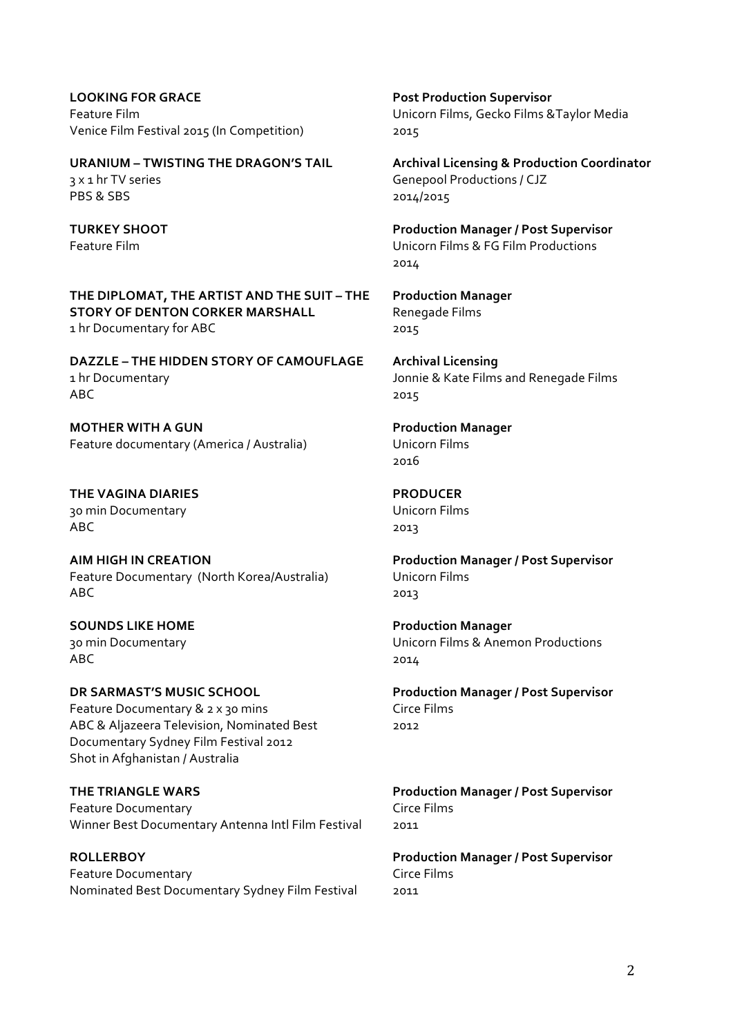**LOOKING FOR GRACE Post Production Supervisor** Venice Film Festival 2015 (In Competition) 2015

3 x 1 hr TV series **State Community** Genepool Productions / CJZ PBS & SBS 2014/2015

THE DIPLOMAT, THE ARTIST AND THE SUIT - THE Production Manager **STORY OF DENTON CORKER MARSHALL Renegade Films** 1 hr Documentary for ABC 2015

**DAZZLE – THE HIDDEN STORY OF CAMOUFLAGE Archival Licensing** 1 hr Documentary **18 and 1** Jonnie & Kate Films and Renegade Films  $\triangle$ BC 2015

**MOTHER WITH A GUN Production Manager** Feature documentary (America / Australia) Unicorn Films

**THE VAGINA DIARIES PRODUCER** 30 min Documentary **No. 1988** Unicorn Films  $\triangle$ BC 2013

**AIM HIGH IN CREATION Production Manager / Post Supervisor** Feature Documentary (North Korea/Australia) Unicorn Films  $\mathsf{ABC}$  2013

**SOUNDS LIKE HOME Production Manager**  $\triangle$ BC 2014

**DR SARMAST'S MUSIC SCHOOL Production Manager / Post Supervisor** Feature Documentary & 2 x 30 mins Circe Films ABC & Aljazeera Television, Nominated Best Documentary Sydney Film Festival 2012 Shot in Afghanistan / Australia

**THE TRIANGLE WARS Production Manager / Post Supervisor** Feature Documentary **Circe** Films Winner Best Documentary Antenna Intl Film Festival 2011

**ROLLERBOY Production Manager / Post Supervisor** Feature Documentary **Circe Films** Nominated Best Documentary Sydney Film Festival 2011

Feature Film **Fundal** Controller Controller Controller Unicorn Films, Gecko Films & Taylor Media

**URANIUM – TWISTING THE DRAGON'S TAIL Archival Licensing & Production Coordinator** 

**TURKEY SHOOT Production Manager / Post Supervisor** Feature Film **Film Community** Contract Community Contract Unicorn Films & FG Film Productions 2014

2016

30 min Documentary **No. 20 minumentary** Unicorn Films & Anemon Productions

2012